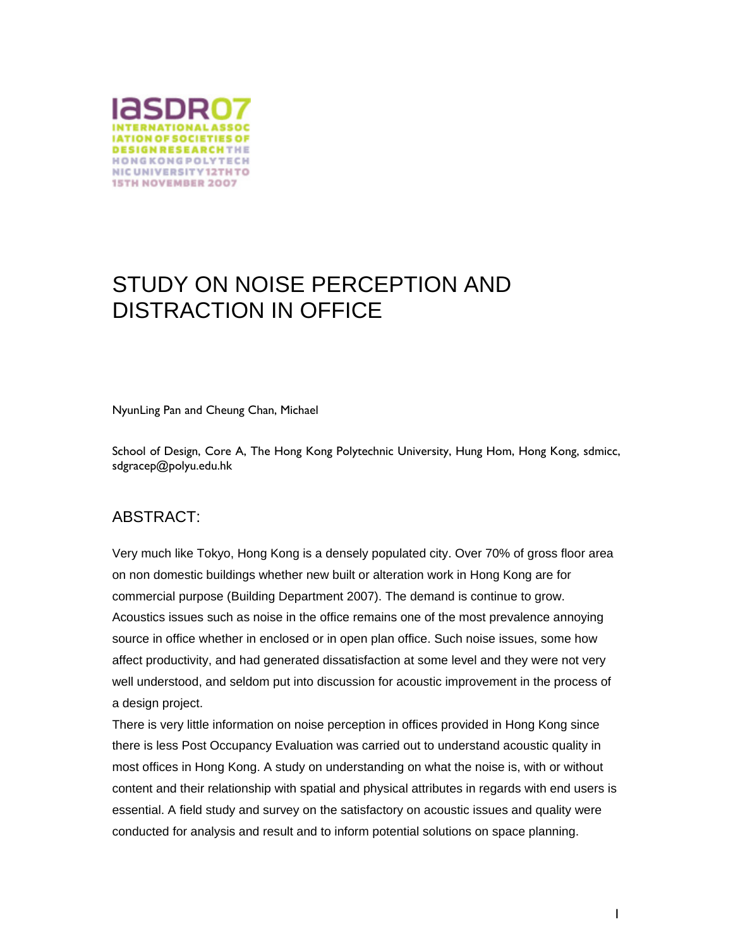

# STUDY ON NOISE PERCEPTION AND DISTRACTION IN OFFICE

NyunLing Pan and Cheung Chan, Michael

School of Design, Core A, The Hong Kong Polytechnic University, Hung Hom, Hong Kong, sdmicc, sdgracep@polyu.edu.hk

#### ABSTRACT:

Very much like Tokyo, Hong Kong is a densely populated city. Over 70% of gross floor area on non domestic buildings whether new built or alteration work in Hong Kong are for commercial purpose (Building Department 2007). The demand is continue to grow. Acoustics issues such as noise in the office remains one of the most prevalence annoying source in office whether in enclosed or in open plan office. Such noise issues, some how affect productivity, and had generated dissatisfaction at some level and they were not very well understood, and seldom put into discussion for acoustic improvement in the process of a design project.

There is very little information on noise perception in offices provided in Hong Kong since there is less Post Occupancy Evaluation was carried out to understand acoustic quality in most offices in Hong Kong. A study on understanding on what the noise is, with or without content and their relationship with spatial and physical attributes in regards with end users is essential. A field study and survey on the satisfactory on acoustic issues and quality were conducted for analysis and result and to inform potential solutions on space planning.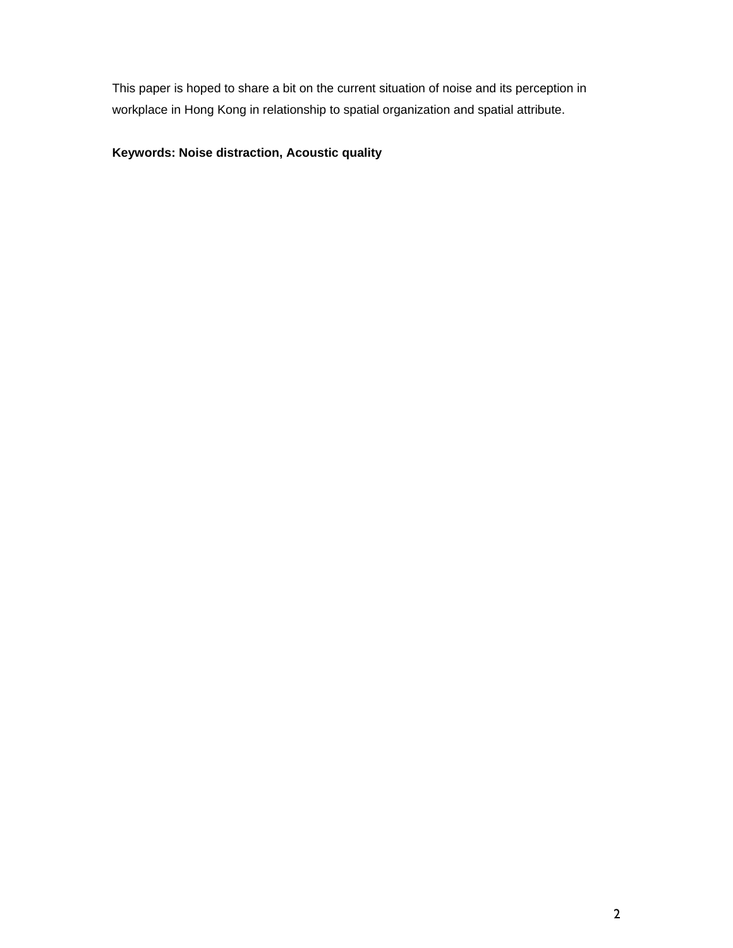This paper is hoped to share a bit on the current situation of noise and its perception in workplace in Hong Kong in relationship to spatial organization and spatial attribute.

#### **Keywords: Noise distraction, Acoustic quality**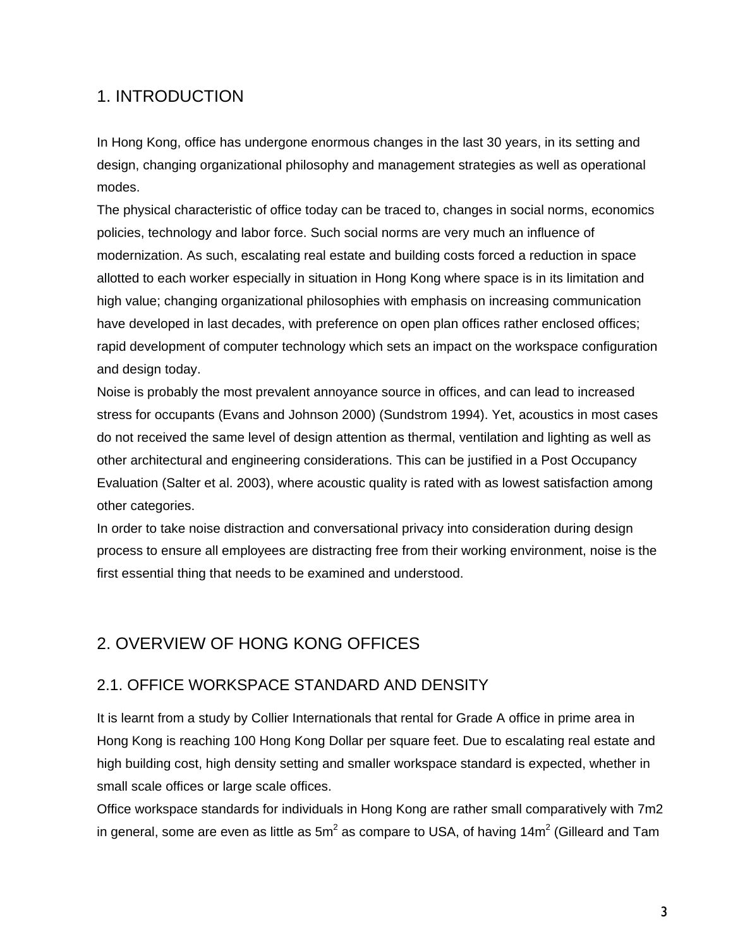## 1. INTRODUCTION

In Hong Kong, office has undergone enormous changes in the last 30 years, in its setting and design, changing organizational philosophy and management strategies as well as operational modes.

The physical characteristic of office today can be traced to, changes in social norms, economics policies, technology and labor force. Such social norms are very much an influence of modernization. As such, escalating real estate and building costs forced a reduction in space allotted to each worker especially in situation in Hong Kong where space is in its limitation and high value; changing organizational philosophies with emphasis on increasing communication have developed in last decades, with preference on open plan offices rather enclosed offices; rapid development of computer technology which sets an impact on the workspace configuration and design today.

Noise is probably the most prevalent annoyance source in offices, and can lead to increased stress for occupants (Evans and Johnson 2000) (Sundstrom 1994). Yet, acoustics in most cases do not received the same level of design attention as thermal, ventilation and lighting as well as other architectural and engineering considerations. This can be justified in a Post Occupancy Evaluation (Salter et al. 2003), where acoustic quality is rated with as lowest satisfaction among other categories.

In order to take noise distraction and conversational privacy into consideration during design process to ensure all employees are distracting free from their working environment, noise is the first essential thing that needs to be examined and understood.

## 2. OVERVIEW OF HONG KONG OFFICES

#### 2.1. OFFICE WORKSPACE STANDARD AND DENSITY

It is learnt from a study by Collier Internationals that rental for Grade A office in prime area in Hong Kong is reaching 100 Hong Kong Dollar per square feet. Due to escalating real estate and high building cost, high density setting and smaller workspace standard is expected, whether in small scale offices or large scale offices.

Office workspace standards for individuals in Hong Kong are rather small comparatively with 7m2 in general, some are even as little as 5m<sup>2</sup> as compare to USA, of having 14m<sup>2</sup> (Gilleard and Tam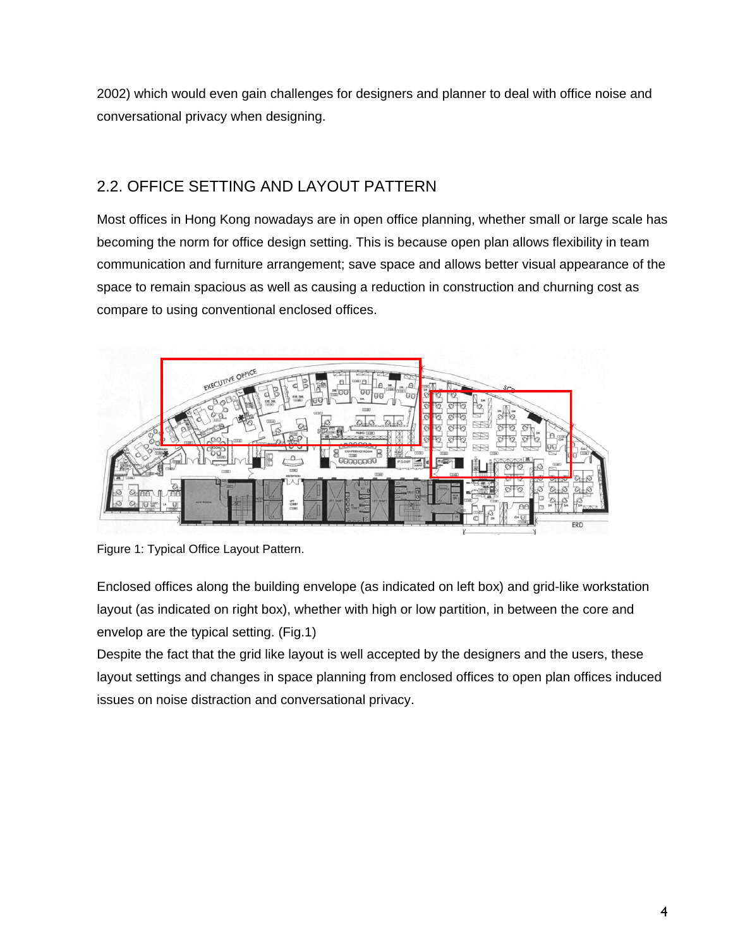2002) which would even gain challenges for designers and planner to deal with office noise and conversational privacy when designing.

## 2.2. OFFICE SETTING AND LAYOUT PATTERN

Most offices in Hong Kong nowadays are in open office planning, whether small or large scale has becoming the norm for office design setting. This is because open plan allows flexibility in team communication and furniture arrangement; save space and allows better visual appearance of the space to remain spacious as well as causing a reduction in construction and churning cost as compare to using conventional enclosed offices.



Figure 1: Typical Office Layout Pattern.

Enclosed offices along the building envelope (as indicated on left box) and grid-like workstation layout (as indicated on right box), whether with high or low partition, in between the core and envelop are the typical setting. (Fig.1)

Despite the fact that the grid like layout is well accepted by the designers and the users, these layout settings and changes in space planning from enclosed offices to open plan offices induced issues on noise distraction and conversational privacy.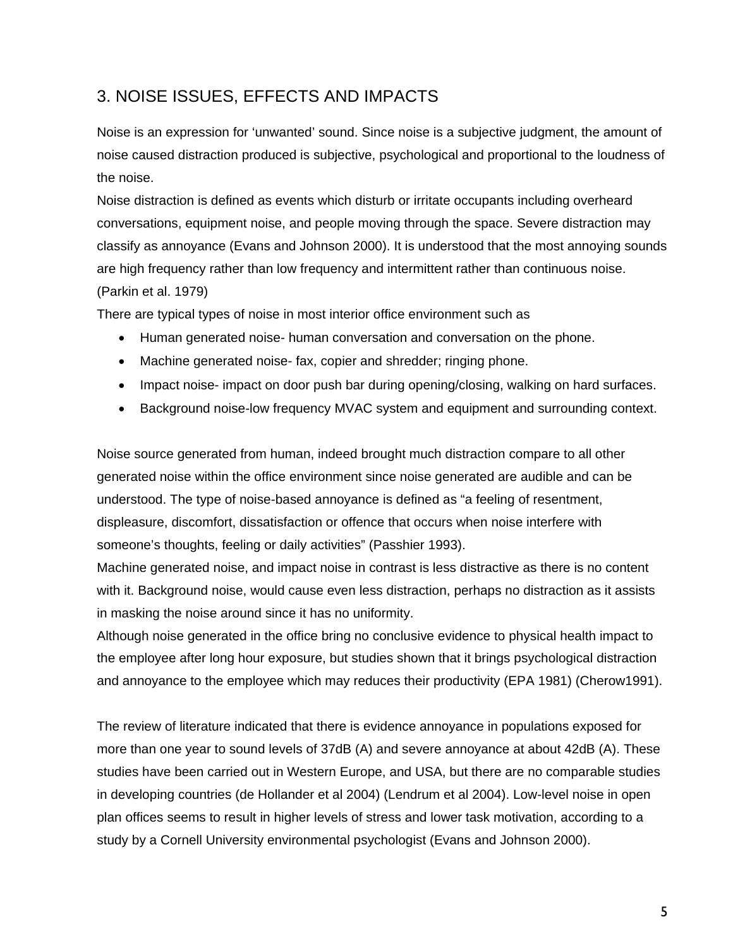## 3. NOISE ISSUES, EFFECTS AND IMPACTS

Noise is an expression for 'unwanted' sound. Since noise is a subjective judgment, the amount of noise caused distraction produced is subjective, psychological and proportional to the loudness of the noise.

Noise distraction is defined as events which disturb or irritate occupants including overheard conversations, equipment noise, and people moving through the space. Severe distraction may classify as annoyance (Evans and Johnson 2000). It is understood that the most annoying sounds are high frequency rather than low frequency and intermittent rather than continuous noise. (Parkin et al. 1979)

There are typical types of noise in most interior office environment such as

- Human generated noise- human conversation and conversation on the phone.
- Machine generated noise- fax, copier and shredder; ringing phone.
- Impact noise- impact on door push bar during opening/closing, walking on hard surfaces.
- Background noise-low frequency MVAC system and equipment and surrounding context.

Noise source generated from human, indeed brought much distraction compare to all other generated noise within the office environment since noise generated are audible and can be understood. The type of noise-based annoyance is defined as "a feeling of resentment, displeasure, discomfort, dissatisfaction or offence that occurs when noise interfere with someone's thoughts, feeling or daily activities" (Passhier 1993).

Machine generated noise, and impact noise in contrast is less distractive as there is no content with it. Background noise, would cause even less distraction, perhaps no distraction as it assists in masking the noise around since it has no uniformity.

Although noise generated in the office bring no conclusive evidence to physical health impact to the employee after long hour exposure, but studies shown that it brings psychological distraction and annoyance to the employee which may reduces their productivity (EPA 1981) (Cherow1991).

The review of literature indicated that there is evidence annoyance in populations exposed for more than one year to sound levels of 37dB (A) and severe annoyance at about 42dB (A). These studies have been carried out in Western Europe, and USA, but there are no comparable studies in developing countries (de Hollander et al 2004) (Lendrum et al 2004). Low-level noise in open plan offices seems to result in higher levels of stress and lower task motivation, according to a study by a Cornell University environmental psychologist (Evans and Johnson 2000).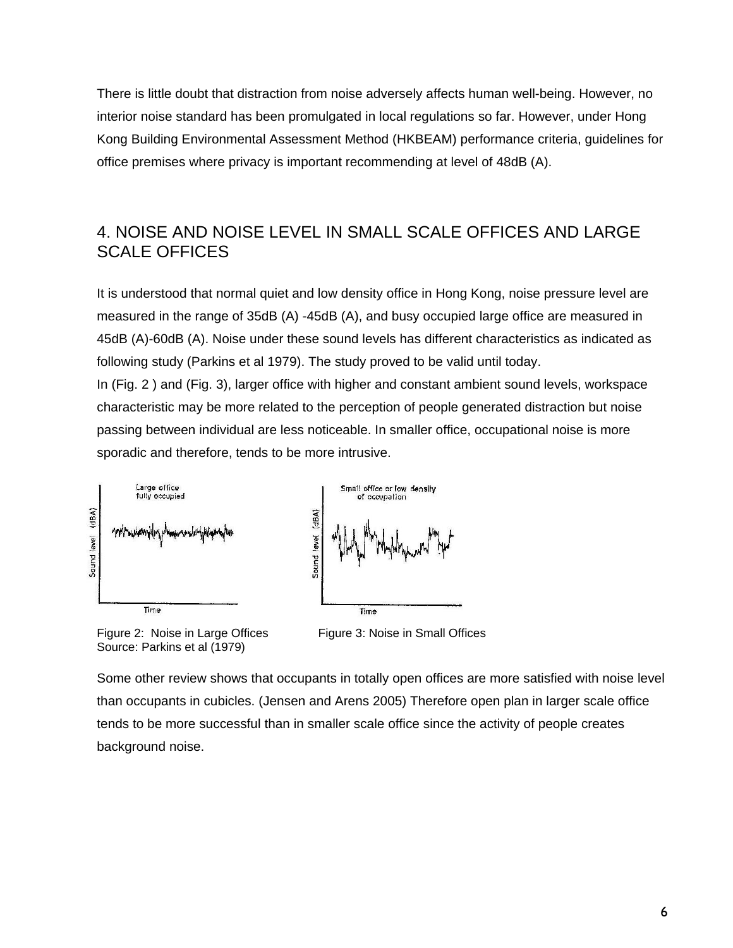There is little doubt that distraction from noise adversely affects human well-being. However, no interior noise standard has been promulgated in local regulations so far. However, under Hong Kong Building Environmental Assessment Method (HKBEAM) performance criteria, guidelines for office premises where privacy is important recommending at level of 48dB (A).

## 4. NOISE AND NOISE LEVEL IN SMALL SCALE OFFICES AND LARGE SCALE OFFICES

It is understood that normal quiet and low density office in Hong Kong, noise pressure level are measured in the range of 35dB (A) -45dB (A), and busy occupied large office are measured in 45dB (A)-60dB (A). Noise under these sound levels has different characteristics as indicated as following study (Parkins et al 1979). The study proved to be valid until today. In (Fig. 2 ) and (Fig. 3), larger office with higher and constant ambient sound levels, workspace characteristic may be more related to the perception of people generated distraction but noise passing between individual are less noticeable. In smaller office, occupational noise is more sporadic and therefore, tends to be more intrusive.



Figure 2: Noise in Large Offices Figure 3: Noise in Small Offices Source: Parkins et al (1979)

Some other review shows that occupants in totally open offices are more satisfied with noise level than occupants in cubicles. (Jensen and Arens 2005) Therefore open plan in larger scale office tends to be more successful than in smaller scale office since the activity of people creates background noise.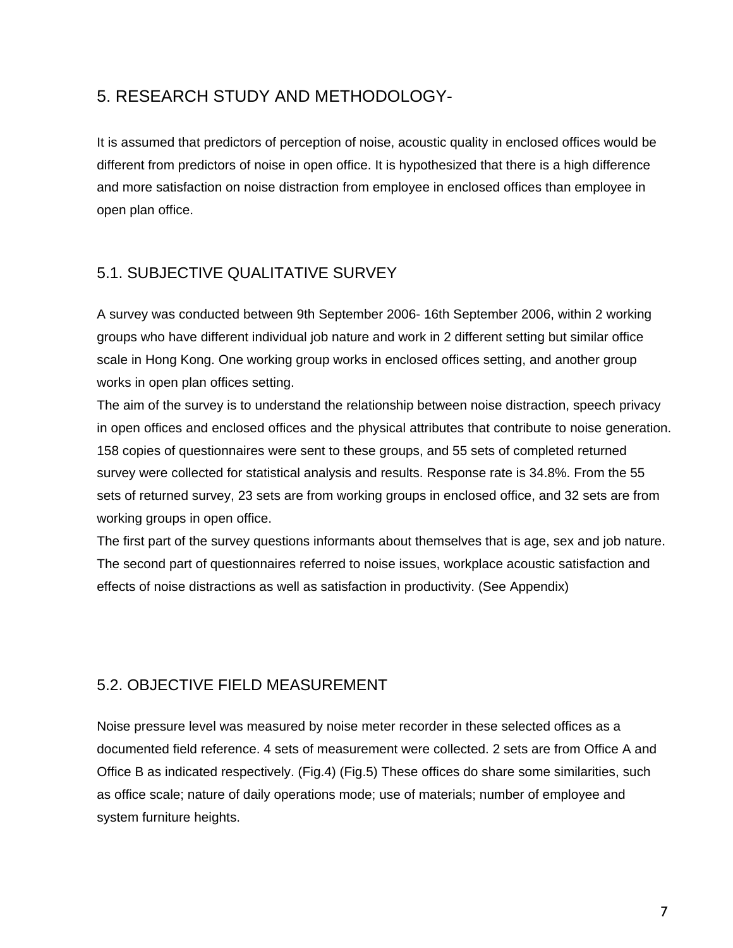## 5. RESEARCH STUDY AND METHODOLOGY-

It is assumed that predictors of perception of noise, acoustic quality in enclosed offices would be different from predictors of noise in open office. It is hypothesized that there is a high difference and more satisfaction on noise distraction from employee in enclosed offices than employee in open plan office.

### 5.1. SUBJECTIVE QUALITATIVE SURVEY

A survey was conducted between 9th September 2006- 16th September 2006, within 2 working groups who have different individual job nature and work in 2 different setting but similar office scale in Hong Kong. One working group works in enclosed offices setting, and another group works in open plan offices setting.

The aim of the survey is to understand the relationship between noise distraction, speech privacy in open offices and enclosed offices and the physical attributes that contribute to noise generation. 158 copies of questionnaires were sent to these groups, and 55 sets of completed returned survey were collected for statistical analysis and results. Response rate is 34.8%. From the 55 sets of returned survey, 23 sets are from working groups in enclosed office, and 32 sets are from working groups in open office.

The first part of the survey questions informants about themselves that is age, sex and job nature. The second part of questionnaires referred to noise issues, workplace acoustic satisfaction and effects of noise distractions as well as satisfaction in productivity. (See Appendix)

#### 5.2. OBJECTIVE FIELD MEASUREMENT

Noise pressure level was measured by noise meter recorder in these selected offices as a documented field reference. 4 sets of measurement were collected. 2 sets are from Office A and Office B as indicated respectively. (Fig.4) (Fig.5) These offices do share some similarities, such as office scale; nature of daily operations mode; use of materials; number of employee and system furniture heights.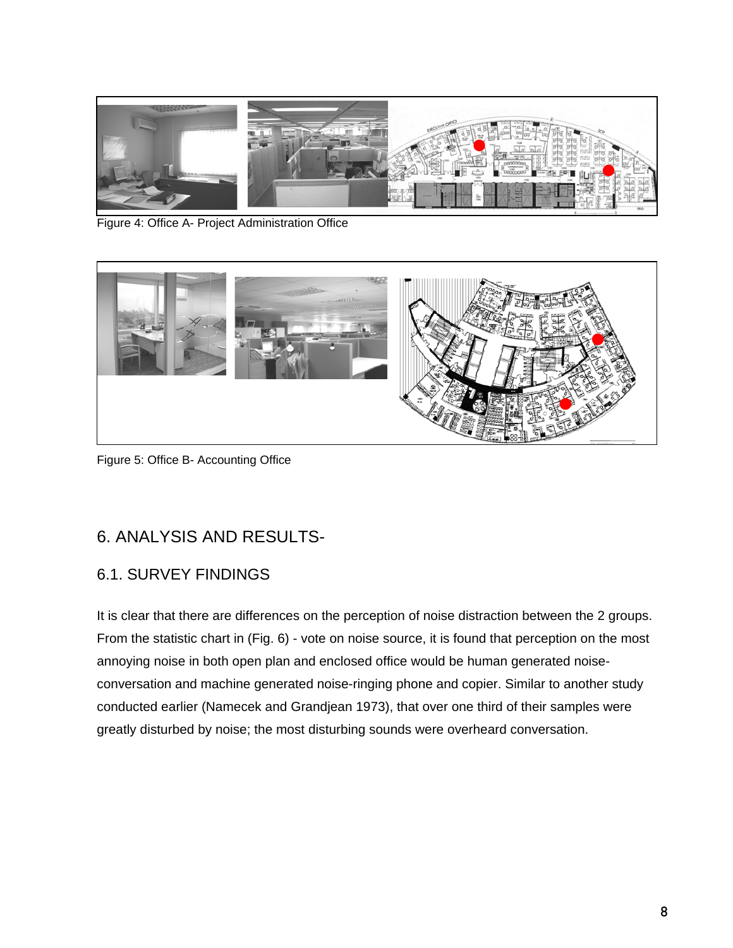

Figure 4: Office A- Project Administration Office



Figure 5: Office B- Accounting Office

## 6. ANALYSIS AND RESULTS-

#### 6.1. SURVEY FINDINGS

It is clear that there are differences on the perception of noise distraction between the 2 groups. From the statistic chart in (Fig. 6) - vote on noise source, it is found that perception on the most annoying noise in both open plan and enclosed office would be human generated noiseconversation and machine generated noise-ringing phone and copier. Similar to another study conducted earlier (Namecek and Grandjean 1973), that over one third of their samples were greatly disturbed by noise; the most disturbing sounds were overheard conversation.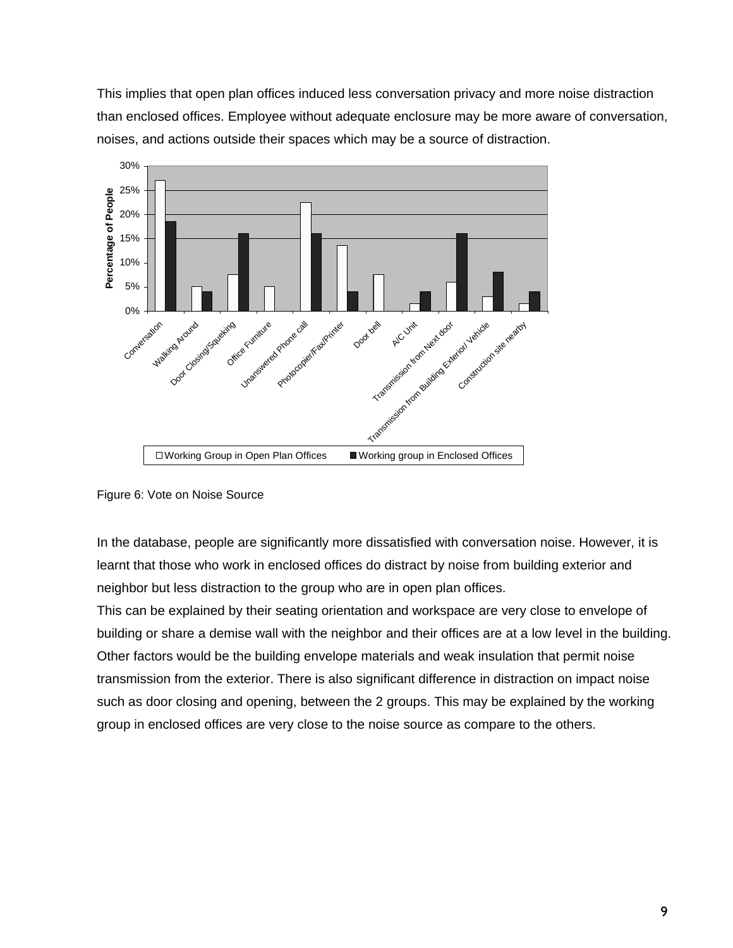This implies that open plan offices induced less conversation privacy and more noise distraction than enclosed offices. Employee without adequate enclosure may be more aware of conversation, noises, and actions outside their spaces which may be a source of distraction.



Figure 6: Vote on Noise Source

In the database, people are significantly more dissatisfied with conversation noise. However, it is learnt that those who work in enclosed offices do distract by noise from building exterior and neighbor but less distraction to the group who are in open plan offices.

This can be explained by their seating orientation and workspace are very close to envelope of building or share a demise wall with the neighbor and their offices are at a low level in the building. Other factors would be the building envelope materials and weak insulation that permit noise transmission from the exterior. There is also significant difference in distraction on impact noise such as door closing and opening, between the 2 groups. This may be explained by the working group in enclosed offices are very close to the noise source as compare to the others.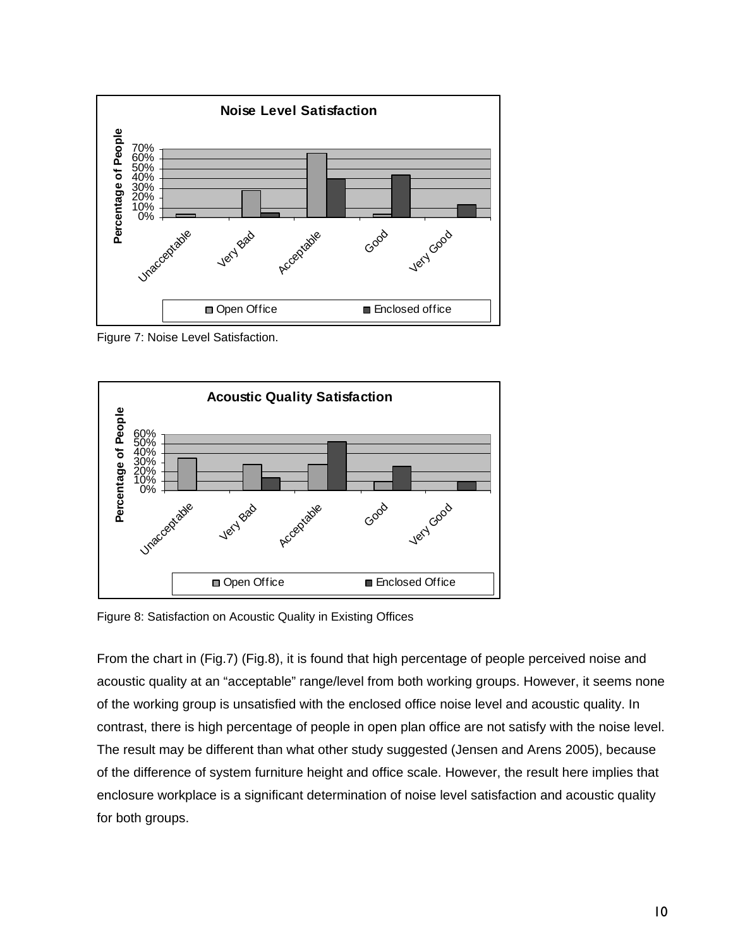

Figure 7: Noise Level Satisfaction.



Figure 8: Satisfaction on Acoustic Quality in Existing Offices

From the chart in (Fig.7) (Fig.8), it is found that high percentage of people perceived noise and acoustic quality at an "acceptable" range/level from both working groups. However, it seems none of the working group is unsatisfied with the enclosed office noise level and acoustic quality. In contrast, there is high percentage of people in open plan office are not satisfy with the noise level. The result may be different than what other study suggested (Jensen and Arens 2005), because of the difference of system furniture height and office scale. However, the result here implies that enclosure workplace is a significant determination of noise level satisfaction and acoustic quality for both groups.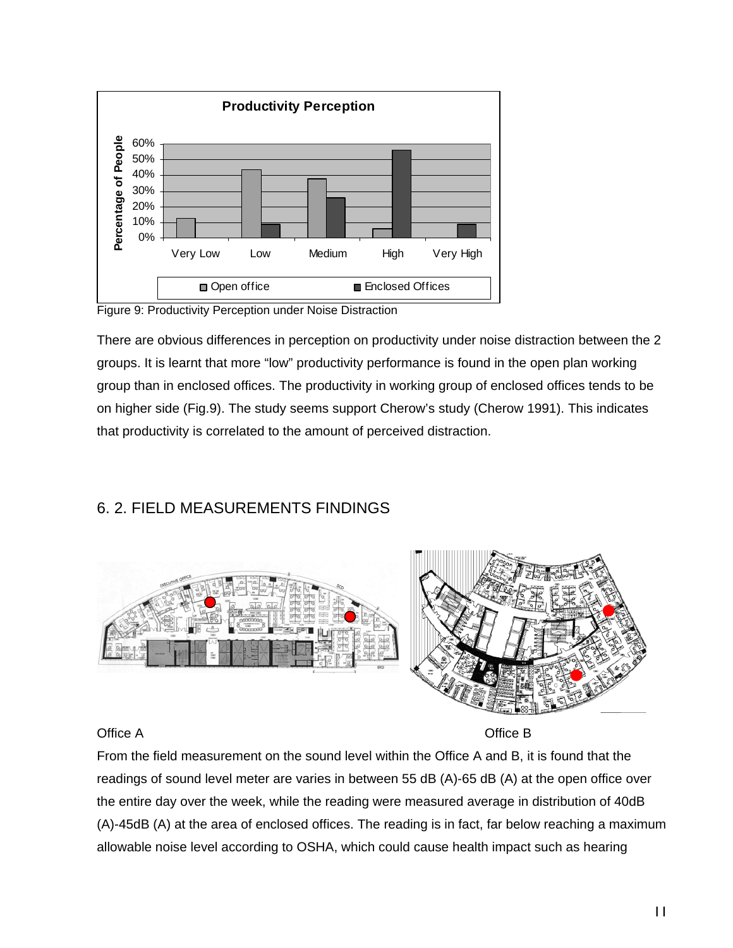

Figure 9: Productivity Perception under Noise Distraction

There are obvious differences in perception on productivity under noise distraction between the 2 groups. It is learnt that more "low" productivity performance is found in the open plan working group than in enclosed offices. The productivity in working group of enclosed offices tends to be on higher side (Fig.9). The study seems support Cherow's study (Cherow 1991). This indicates that productivity is correlated to the amount of perceived distraction.

### 6. 2. FIELD MEASUREMENTS FINDINGS



#### Office A Contract of the Contract of the Contract of Contract of the Contract of Contract of Contract of Contract of Contract of Contract of Contract of Contract of Contract of Contract of Contract of Contract of Contract

From the field measurement on the sound level within the Office A and B, it is found that the readings of sound level meter are varies in between 55 dB (A)-65 dB (A) at the open office over the entire day over the week, while the reading were measured average in distribution of 40dB (A)-45dB (A) at the area of enclosed offices. The reading is in fact, far below reaching a maximum allowable noise level according to OSHA, which could cause health impact such as hearing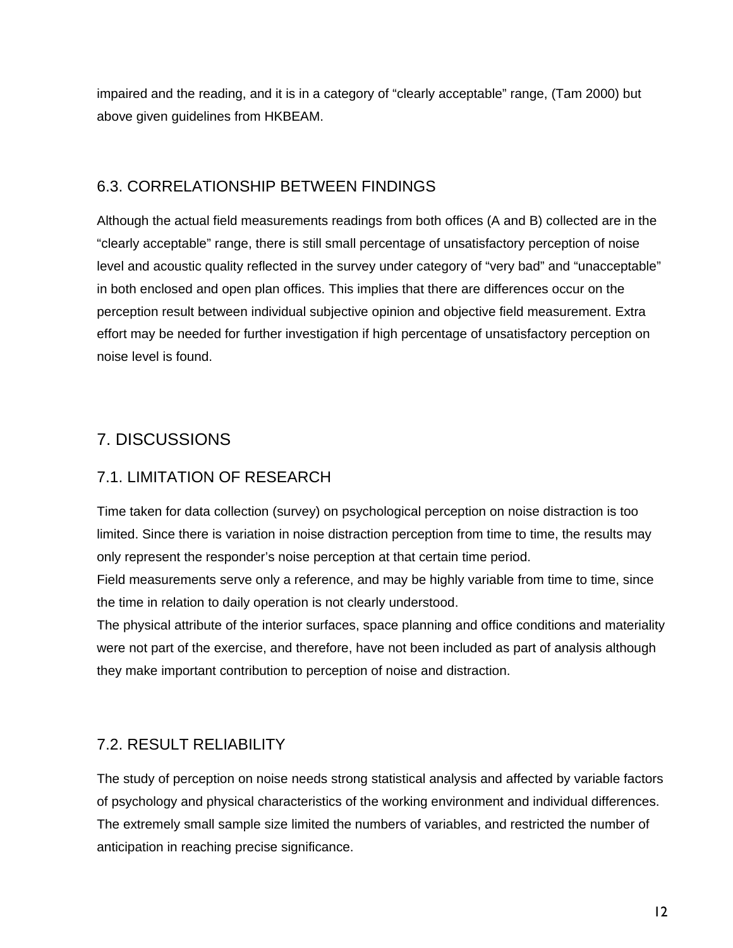impaired and the reading, and it is in a category of "clearly acceptable" range, (Tam 2000) but above given guidelines from HKBEAM.

## 6.3. CORRELATIONSHIP BETWEEN FINDINGS

Although the actual field measurements readings from both offices (A and B) collected are in the "clearly acceptable" range, there is still small percentage of unsatisfactory perception of noise level and acoustic quality reflected in the survey under category of "very bad" and "unacceptable" in both enclosed and open plan offices. This implies that there are differences occur on the perception result between individual subjective opinion and objective field measurement. Extra effort may be needed for further investigation if high percentage of unsatisfactory perception on noise level is found.

## 7. DISCUSSIONS

### 7.1. LIMITATION OF RESEARCH

Time taken for data collection (survey) on psychological perception on noise distraction is too limited. Since there is variation in noise distraction perception from time to time, the results may only represent the responder's noise perception at that certain time period.

Field measurements serve only a reference, and may be highly variable from time to time, since the time in relation to daily operation is not clearly understood.

The physical attribute of the interior surfaces, space planning and office conditions and materiality were not part of the exercise, and therefore, have not been included as part of analysis although they make important contribution to perception of noise and distraction.

### 7.2. RESULT RELIABILITY

The study of perception on noise needs strong statistical analysis and affected by variable factors of psychology and physical characteristics of the working environment and individual differences. The extremely small sample size limited the numbers of variables, and restricted the number of anticipation in reaching precise significance.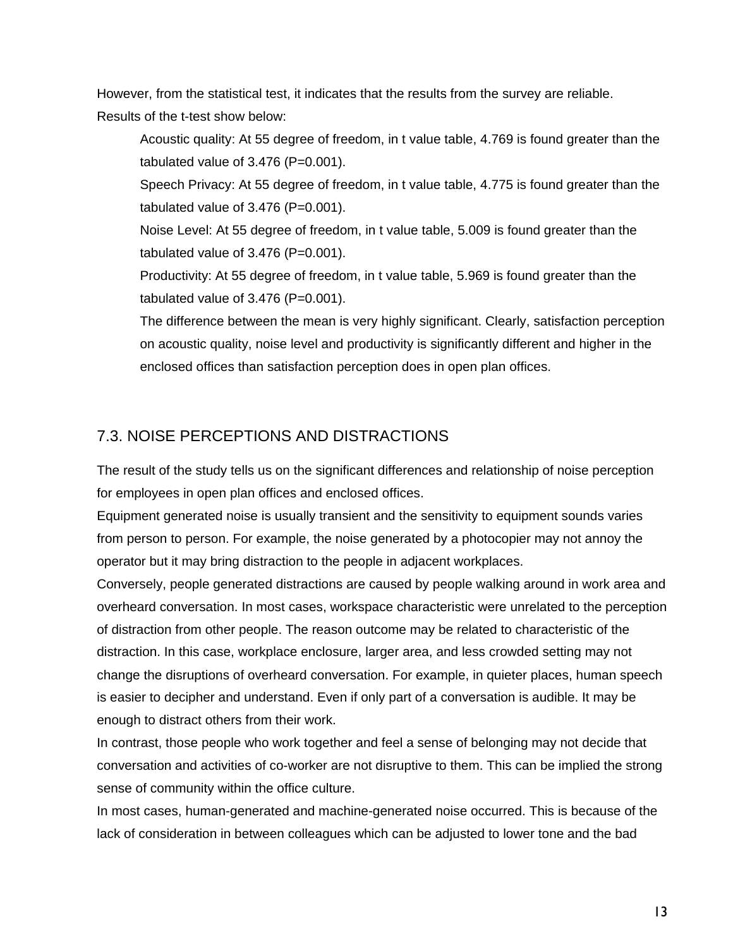However, from the statistical test, it indicates that the results from the survey are reliable. Results of the t-test show below:

Acoustic quality: At 55 degree of freedom, in t value table, 4.769 is found greater than the tabulated value of  $3.476$  (P=0.001).

Speech Privacy: At 55 degree of freedom, in t value table, 4.775 is found greater than the tabulated value of  $3.476$  (P=0.001).

Noise Level: At 55 degree of freedom, in t value table, 5.009 is found greater than the tabulated value of  $3.476$  (P=0.001).

Productivity: At 55 degree of freedom, in t value table, 5.969 is found greater than the tabulated value of  $3.476$  (P=0.001).

The difference between the mean is very highly significant. Clearly, satisfaction perception on acoustic quality, noise level and productivity is significantly different and higher in the enclosed offices than satisfaction perception does in open plan offices.

### 7.3. NOISE PERCEPTIONS AND DISTRACTIONS

The result of the study tells us on the significant differences and relationship of noise perception for employees in open plan offices and enclosed offices.

Equipment generated noise is usually transient and the sensitivity to equipment sounds varies from person to person. For example, the noise generated by a photocopier may not annoy the operator but it may bring distraction to the people in adjacent workplaces.

Conversely, people generated distractions are caused by people walking around in work area and overheard conversation. In most cases, workspace characteristic were unrelated to the perception of distraction from other people. The reason outcome may be related to characteristic of the distraction. In this case, workplace enclosure, larger area, and less crowded setting may not change the disruptions of overheard conversation. For example, in quieter places, human speech is easier to decipher and understand. Even if only part of a conversation is audible. It may be enough to distract others from their work.

In contrast, those people who work together and feel a sense of belonging may not decide that conversation and activities of co-worker are not disruptive to them. This can be implied the strong sense of community within the office culture.

In most cases, human-generated and machine-generated noise occurred. This is because of the lack of consideration in between colleagues which can be adjusted to lower tone and the bad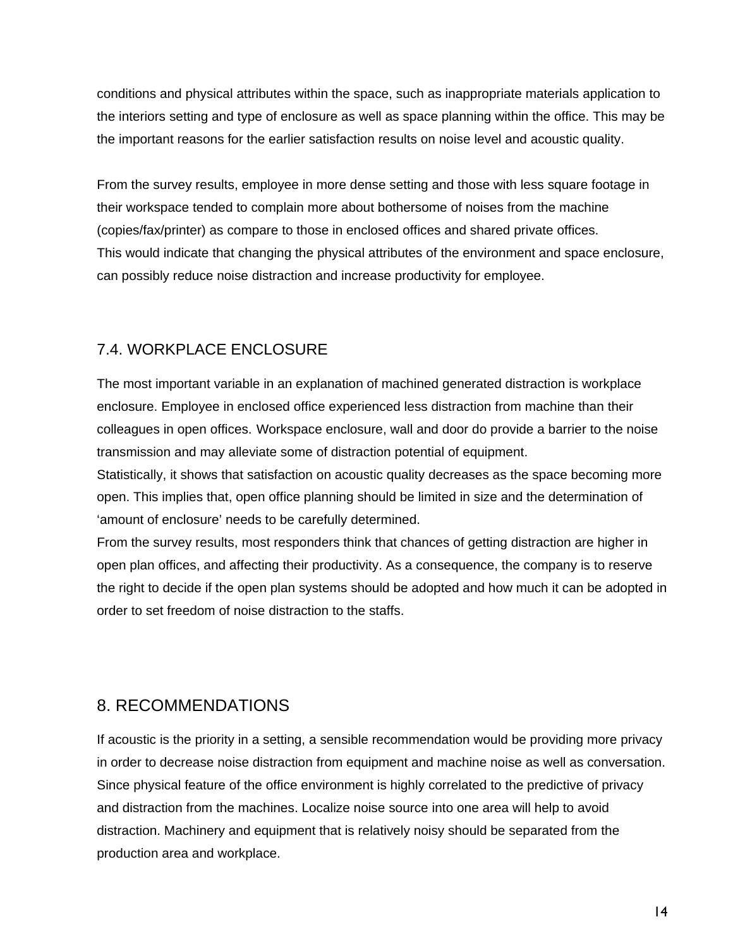conditions and physical attributes within the space, such as inappropriate materials application to the interiors setting and type of enclosure as well as space planning within the office. This may be the important reasons for the earlier satisfaction results on noise level and acoustic quality.

From the survey results, employee in more dense setting and those with less square footage in their workspace tended to complain more about bothersome of noises from the machine (copies/fax/printer) as compare to those in enclosed offices and shared private offices. This would indicate that changing the physical attributes of the environment and space enclosure, can possibly reduce noise distraction and increase productivity for employee.

## 7.4. WORKPLACE ENCLOSURE

The most important variable in an explanation of machined generated distraction is workplace enclosure. Employee in enclosed office experienced less distraction from machine than their colleagues in open offices. Workspace enclosure, wall and door do provide a barrier to the noise transmission and may alleviate some of distraction potential of equipment.

Statistically, it shows that satisfaction on acoustic quality decreases as the space becoming more open. This implies that, open office planning should be limited in size and the determination of 'amount of enclosure' needs to be carefully determined.

From the survey results, most responders think that chances of getting distraction are higher in open plan offices, and affecting their productivity. As a consequence, the company is to reserve the right to decide if the open plan systems should be adopted and how much it can be adopted in order to set freedom of noise distraction to the staffs.

## 8. RECOMMENDATIONS

If acoustic is the priority in a setting, a sensible recommendation would be providing more privacy in order to decrease noise distraction from equipment and machine noise as well as conversation. Since physical feature of the office environment is highly correlated to the predictive of privacy and distraction from the machines. Localize noise source into one area will help to avoid distraction. Machinery and equipment that is relatively noisy should be separated from the production area and workplace.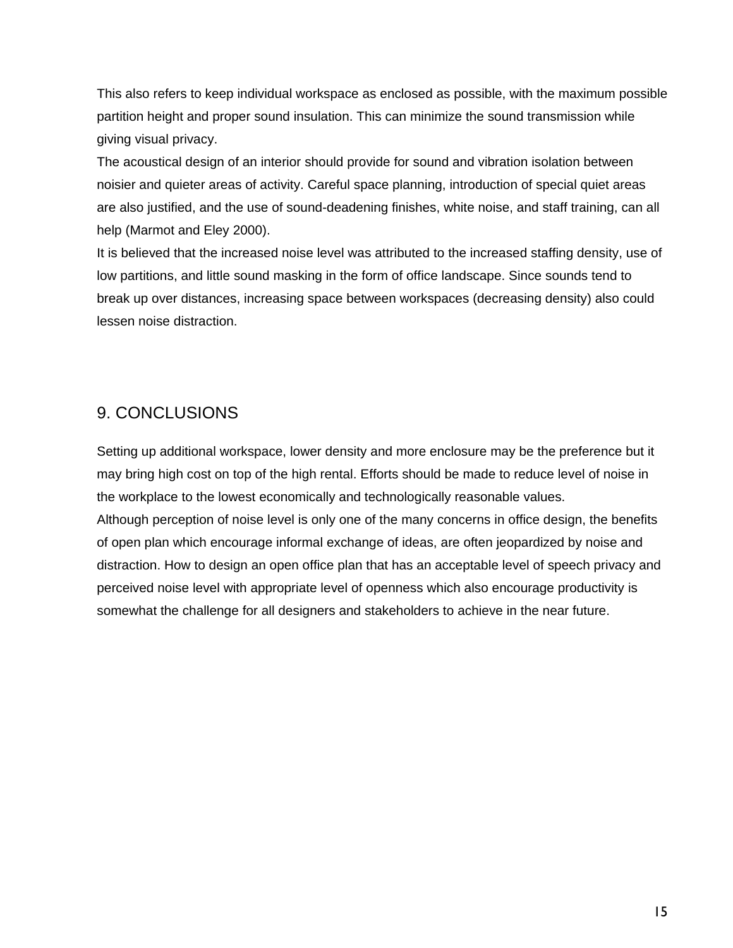This also refers to keep individual workspace as enclosed as possible, with the maximum possible partition height and proper sound insulation. This can minimize the sound transmission while giving visual privacy.

The acoustical design of an interior should provide for sound and vibration isolation between noisier and quieter areas of activity. Careful space planning, introduction of special quiet areas are also justified, and the use of sound-deadening finishes, white noise, and staff training, can all help (Marmot and Eley 2000).

It is believed that the increased noise level was attributed to the increased staffing density, use of low partitions, and little sound masking in the form of office landscape. Since sounds tend to break up over distances, increasing space between workspaces (decreasing density) also could lessen noise distraction.

## 9. CONCLUSIONS

Setting up additional workspace, lower density and more enclosure may be the preference but it may bring high cost on top of the high rental. Efforts should be made to reduce level of noise in the workplace to the lowest economically and technologically reasonable values. Although perception of noise level is only one of the many concerns in office design, the benefits of open plan which encourage informal exchange of ideas, are often jeopardized by noise and distraction. How to design an open office plan that has an acceptable level of speech privacy and perceived noise level with appropriate level of openness which also encourage productivity is somewhat the challenge for all designers and stakeholders to achieve in the near future.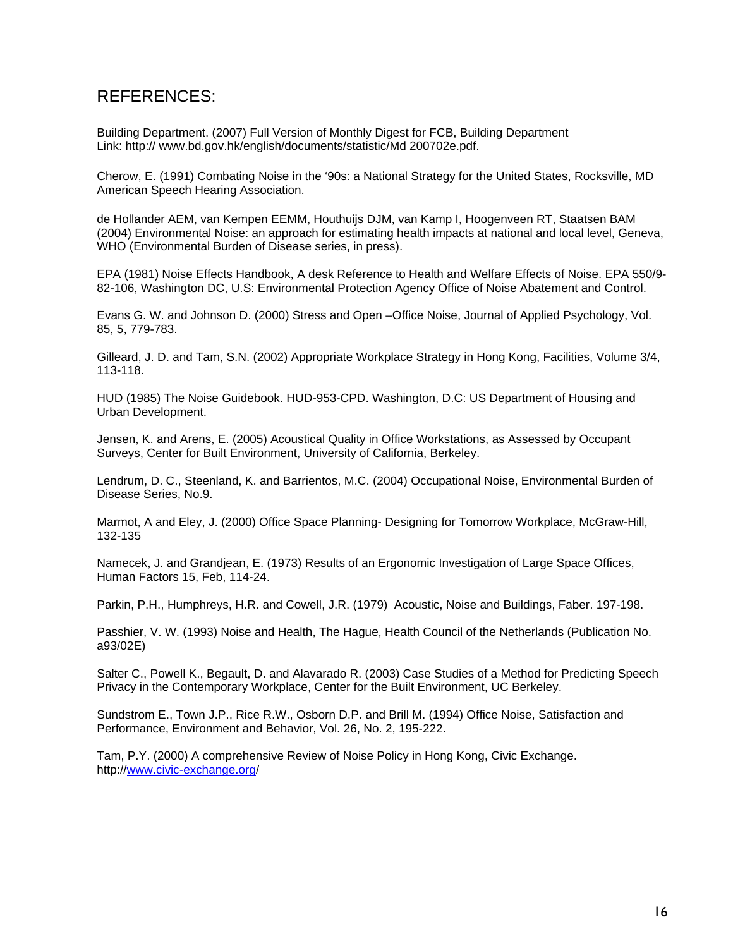### REFERENCES:

Building Department. (2007) Full Version of Monthly Digest for FCB, Building Department Link: http:// www.bd.gov.hk/english/documents/statistic/Md 200702e.pdf.

Cherow, E. (1991) Combating Noise in the '90s: a National Strategy for the United States, Rocksville, MD American Speech Hearing Association.

de Hollander AEM, van Kempen EEMM, Houthuijs DJM, van Kamp I, Hoogenveen RT, Staatsen BAM (2004) Environmental Noise: an approach for estimating health impacts at national and local level, Geneva, WHO (Environmental Burden of Disease series, in press).

EPA (1981) Noise Effects Handbook, A desk Reference to Health and Welfare Effects of Noise. EPA 550/9- 82-106, Washington DC, U.S: Environmental Protection Agency Office of Noise Abatement and Control.

Evans G. W. and Johnson D. (2000) Stress and Open –Office Noise, Journal of Applied Psychology, Vol. 85, 5, 779-783.

Gilleard, J. D. and Tam, S.N. (2002) Appropriate Workplace Strategy in Hong Kong, Facilities, Volume 3/4, 113-118.

HUD (1985) The Noise Guidebook. HUD-953-CPD. Washington, D.C: US Department of Housing and Urban Development.

Jensen, K. and Arens, E. (2005) Acoustical Quality in Office Workstations, as Assessed by Occupant Surveys, Center for Built Environment, University of California, Berkeley.

Lendrum, D. C., Steenland, K. and Barrientos, M.C. (2004) Occupational Noise, Environmental Burden of Disease Series, No.9.

Marmot, A and Eley, J. (2000) Office Space Planning- Designing for Tomorrow Workplace, McGraw-Hill, 132-135

Namecek, J. and Grandjean, E. (1973) Results of an Ergonomic Investigation of Large Space Offices, Human Factors 15, Feb, 114-24.

Parkin, P.H., Humphreys, H.R. and Cowell, J.R. (1979) Acoustic, Noise and Buildings, Faber. 197-198.

Passhier, V. W. (1993) Noise and Health, The Hague, Health Council of the Netherlands (Publication No. a93/02E)

Salter C., Powell K., Begault, D. and Alavarado R. (2003) Case Studies of a Method for Predicting Speech Privacy in the Contemporary Workplace, Center for the Built Environment, UC Berkeley.

Sundstrom E., Town J.P., Rice R.W., Osborn D.P. and Brill M. (1994) Office Noise, Satisfaction and Performance, Environment and Behavior, Vol. 26, No. 2, 195-222.

Tam, P.Y. (2000) A comprehensive Review of Noise Policy in Hong Kong, Civic Exchange. http://www.civic-exchange.org/